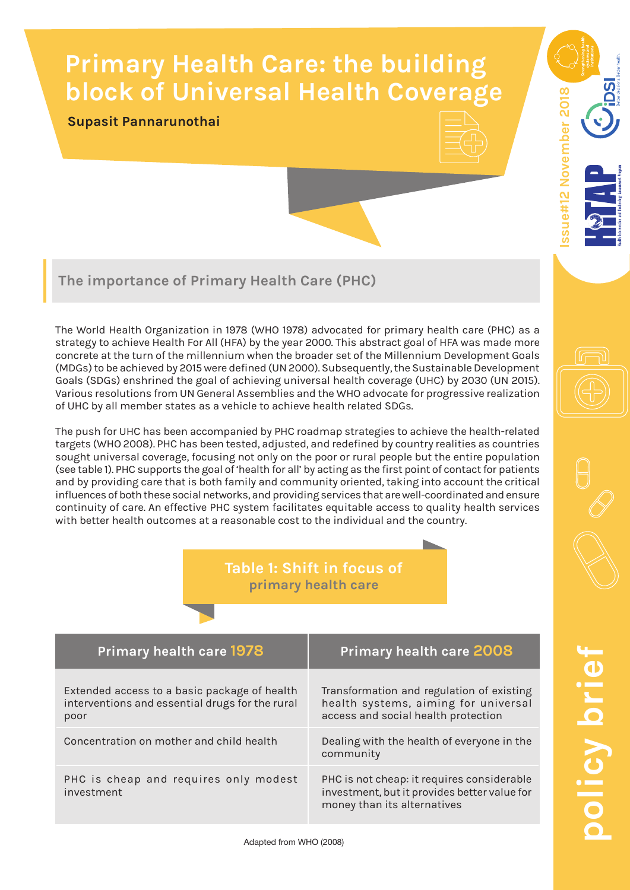# **Primary Health Care: the building block of Universal Health Coverage**

### **Supasit Pannarunothai**



sue#12 November 2018 **Issue#12 November 2018**

## **The importance of Primary Health Care (PHC)**

The World Health Organization in 1978 (WHO 1978) advocated for primary health care (PHC) as a strategy to achieve Health For All (HFA) by the year 2000. This abstract goal of HFA was made more concrete at the turn of the millennium when the broader set of the Millennium Development Goals (MDGs) to be achieved by 2015 were defined (UN 2000). Subsequently, the Sustainable Development Goals (SDGs) enshrined the goal of achieving universal health coverage (UHC) by 2030 (UN 2015). Various resolutions from UN General Assemblies and the WHO advocate for progressive realization of UHC by all member states as a vehicle to achieve health related SDGs.

The push for UHC has been accompanied by PHC roadmap strategies to achieve the health-related targets (WHO 2008). PHC has been tested, adjusted, and redefined by country realities as countries sought universal coverage, focusing not only on the poor or rural people but the entire population (see table 1). PHC supports the goal of 'health for all' by acting as the first point of contact for patients and by providing care that is both family and community oriented, taking into account the critical influences of both these social networks, and providing services that are well-coordinated and ensure continuity of care. An effective PHC system facilitates equitable access to quality health services with better health outcomes at a reasonable cost to the individual and the country.

## **Table 1: Shift in focus of primary health care**

| <b>Primary health care 1978</b>                                                                         | <b>Primary health care 2008</b>                                                                                           |
|---------------------------------------------------------------------------------------------------------|---------------------------------------------------------------------------------------------------------------------------|
| Extended access to a basic package of health<br>interventions and essential drugs for the rural<br>poor | Transformation and regulation of existing<br>health systems, aiming for universal<br>access and social health protection  |
| Concentration on mother and child health                                                                | Dealing with the health of everyone in the<br>community                                                                   |
| PHC is cheap and requires only modest<br>investment                                                     | PHC is not cheap: it requires considerable<br>investment, but it provides better value for<br>money than its alternatives |

**policy brief** olicy bri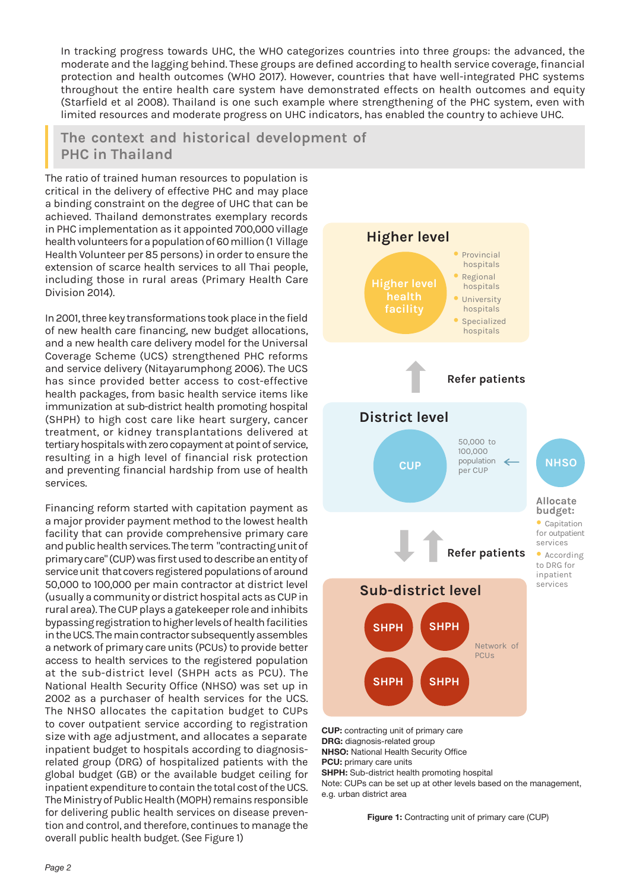In tracking progress towards UHC, the WHO categorizes countries into three groups: the advanced, the moderate and the lagging behind. These groups are defined according to health service coverage, financial protection and health outcomes (WHO 2017). However, countries that have well-integrated PHC systems throughout the entire health care system have demonstrated effects on health outcomes and equity (Starfield et al 2008). Thailand is one such example where strengthening of the PHC system, even with limited resources and moderate progress on UHC indicators, has enabled the country to achieve UHC.

**The context and historical development of PHC in Thailand** 

The ratio of trained human resources to population is critical in the delivery of effective PHC and may place a binding constraint on the degree of UHC that can be achieved. Thailand demonstrates exemplary records in PHC implementation as it appointed 700,000 village health volunteers for a population of 60 million (1 Village Health Volunteer per 85 persons) in order to ensure the extension of scarce health services to all Thai people, including those in rural areas (Primary Health Care Division 2014).

In 2001, three key transformations took place in the field of new health care financing, new budget allocations, and a new health care delivery model for the Universal Coverage Scheme (UCS) strengthened PHC reforms and service delivery (Nitayarumphong 2006). The UCS has since provided better access to cost-effective health packages, from basic health service items like immunization at sub-district health promoting hospital (SHPH) to high cost care like heart surgery, cancer treatment, or kidney transplantations delivered at tertiary hospitals with zero copayment at point of service, resulting in a high level of financial risk protection and preventing financial hardship from use of health services.

Financing reform started with capitation payment as a major provider payment method to the lowest health facility that can provide comprehensive primary care and public health services. The term "contracting unit of primary care" (CUP) was first used to describe an entity of service unit that covers registered populations of around 50,000 to 100,000 per main contractor at district level (usually a community or district hospital acts as CUP in rural area). The CUP plays a gatekeeper role and inhibits bypassing registration to higher levels of health facilities in the UCS. The main contractor subsequently assembles a network of primary care units (PCUs) to provide better access to health services to the registered population at the sub-district level (SHPH acts as PCU). The National Health Security Office (NHSO) was set up in 2002 as a purchaser of health services for the UCS. The NHSO allocates the capitation budget to CUPs to cover outpatient service according to registration size with age adjustment, and allocates a separate inpatient budget to hospitals according to diagnosisrelated group (DRG) of hospitalized patients with the global budget (GB) or the available budget ceiling for inpatient expenditure to contain the total cost of the UCS. The Ministry of Public Health (MOPH) remains responsible for delivering public health services on disease prevention and control, and therefore, continues to manage the overall public health budget. (See Figure 1)



**CUP:** contracting unit of primary care **DRG:** diagnosis-related group **NHSO:** National Health Security Office **PCU:** primary care units **SHPH:** Sub-district health promoting hospital

Note: CUPs can be set up at other levels based on the management, e.g. urban district area

**Figure 1:** Contracting unit of primary care (CUP)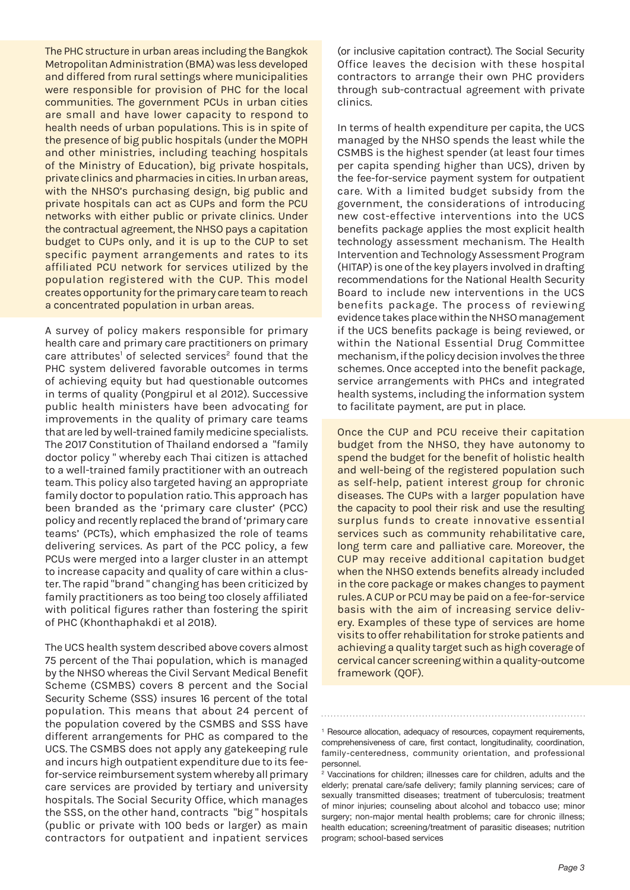The PHC structure in urban areas including the Bangkok Metropolitan Administration (BMA) was less developed and differed from rural settings where municipalities were responsible for provision of PHC for the local communities. The government PCUs in urban cities are small and have lower capacity to respond to health needs of urban populations. This is in spite of the presence of big public hospitals (under the MOPH and other ministries, including teaching hospitals of the Ministry of Education), big private hospitals, private clinics and pharmacies in cities. In urban areas, with the NHSO's purchasing design, big public and private hospitals can act as CUPs and form the PCU networks with either public or private clinics. Under the contractual agreement, the NHSO pays a capitation budget to CUPs only, and it is up to the CUP to set specific payment arrangements and rates to its affiliated PCU network for services utilized by the population registered with the CUP. This model creates opportunity for the primary care team to reach a concentrated population in urban areas.

A survey of policy makers responsible for primary health care and primary care practitioners on primary care attributes<sup>1</sup> of selected services<sup>2</sup> found that the PHC system delivered favorable outcomes in terms of achieving equity but had questionable outcomes in terms of quality (Pongpirul et al 2012). Successive public health ministers have been advocating for improvements in the quality of primary care teams that are led by well-trained family medicine specialists. The 2017 Constitution of Thailand endorsed a "family doctor policy " whereby each Thai citizen is attached to a well-trained family practitioner with an outreach team. This policy also targeted having an appropriate family doctor to population ratio. This approach has been branded as the 'primary care cluster' (PCC) policy and recently replaced the brand of 'primary care teams' (PCTs), which emphasized the role of teams delivering services. As part of the PCC policy, a few PCUs were merged into a larger cluster in an attempt to increase capacity and quality of care within a cluster. The rapid "brand " changing has been criticized by family practitioners as too being too closely affiliated with political figures rather than fostering the spirit of PHC (Khonthaphakdi et al 2018).

The UCS health system described above covers almost 75 percent of the Thai population, which is managed by the NHSO whereas the Civil Servant Medical Benefit Scheme (CSMBS) covers 8 percent and the Social Security Scheme (SSS) insures 16 percent of the total population. This means that about 24 percent of the population covered by the CSMBS and SSS have different arrangements for PHC as compared to the UCS. The CSMBS does not apply any gatekeeping rule and incurs high outpatient expenditure due to its feefor-service reimbursement system whereby all primary care services are provided by tertiary and university hospitals. The Social Security Office, which manages the SSS, on the other hand, contracts "big " hospitals (public or private with 100 beds or larger) as main contractors for outpatient and inpatient services

(or inclusive capitation contract). The Social Security Office leaves the decision with these hospital contractors to arrange their own PHC providers through sub-contractual agreement with private clinics.

In terms of health expenditure per capita, the UCS managed by the NHSO spends the least while the CSMBS is the highest spender (at least four times per capita spending higher than UCS), driven by the fee-for-service payment system for outpatient care. With a limited budget subsidy from the government, the considerations of introducing new cost-effective interventions into the UCS benefits package applies the most explicit health technology assessment mechanism. The Health Intervention and Technology Assessment Program (HITAP) is one of the key players involved in drafting recommendations for the National Health Security Board to include new interventions in the UCS benefits package. The process of reviewing evidence takes place within the NHSO management if the UCS benefits package is being reviewed, or within the National Essential Drug Committee mechanism, if the policy decision involves the three schemes. Once accepted into the benefit package, service arrangements with PHCs and integrated health systems, including the information system to facilitate payment, are put in place.

Once the CUP and PCU receive their capitation budget from the NHSO, they have autonomy to spend the budget for the benefit of holistic health and well-being of the registered population such as self-help, patient interest group for chronic diseases. The CUPs with a larger population have the capacity to pool their risk and use the resulting surplus funds to create innovative essential services such as community rehabilitative care, long term care and palliative care. Moreover, the CUP may receive additional capitation budget when the NHSO extends benefits already included in the core package or makes changes to payment rules. A CUP or PCU may be paid on a fee-for-service basis with the aim of increasing service delivery. Examples of these type of services are home visits to offer rehabilitation for stroke patients and achieving a quality target such as high coverage of cervical cancer screening within a quality-outcome framework (QOF).

<sup>&</sup>lt;sup>1</sup> Resource allocation, adequacy of resources, copayment requirements, comprehensiveness of care, first contact, longitudinality, coordination, family-centeredness, community orientation, and professional personnel.

<sup>2</sup> Vaccinations for children; illnesses care for children, adults and the elderly; prenatal care/safe delivery; family planning services; care of sexually transmitted diseases; treatment of tuberculosis; treatment of minor injuries; counseling about alcohol and tobacco use; minor surgery; non-major mental health problems; care for chronic illness; health education; screening/treatment of parasitic diseases; nutrition program; school-based services